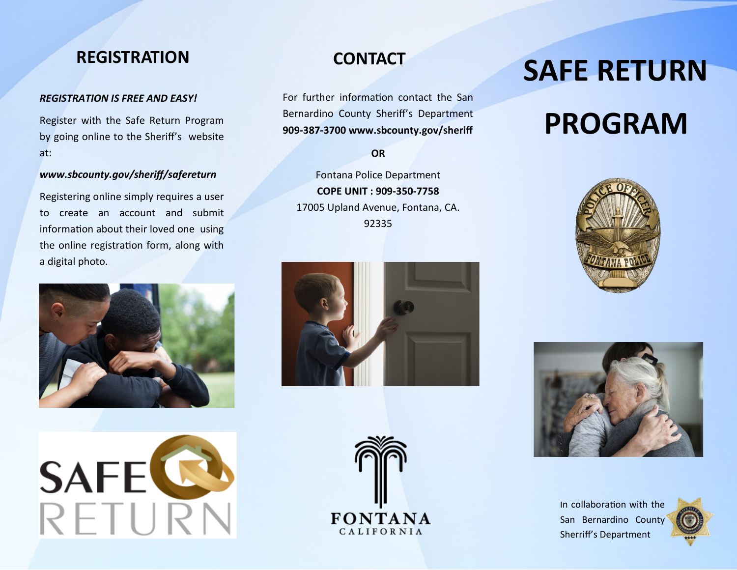## **REGISTRATION CONTACT**

### *REGISTRATION IS FREE AND EASY!*

Register with the Safe Return Program by going online to the Sheriff's website at:

### *www.sbcounty.gov/sheriff/safereturn*

Registering online simply requires a user to create an account and submit information about their loved one using the online registration form, along with a digital photo.





For further information contact the San Bernardino County Sheriff's Department **909-387-3700 www.sbcounty.gov/sheriff** 

**OR**

Fontana Police Department **COPE UNIT : 909-350-7758**  17005 Upland Avenue, Fontana, CA. 92335



# **PROGRAM**









In collaboration with the San Bernardino County Sherriff's Department